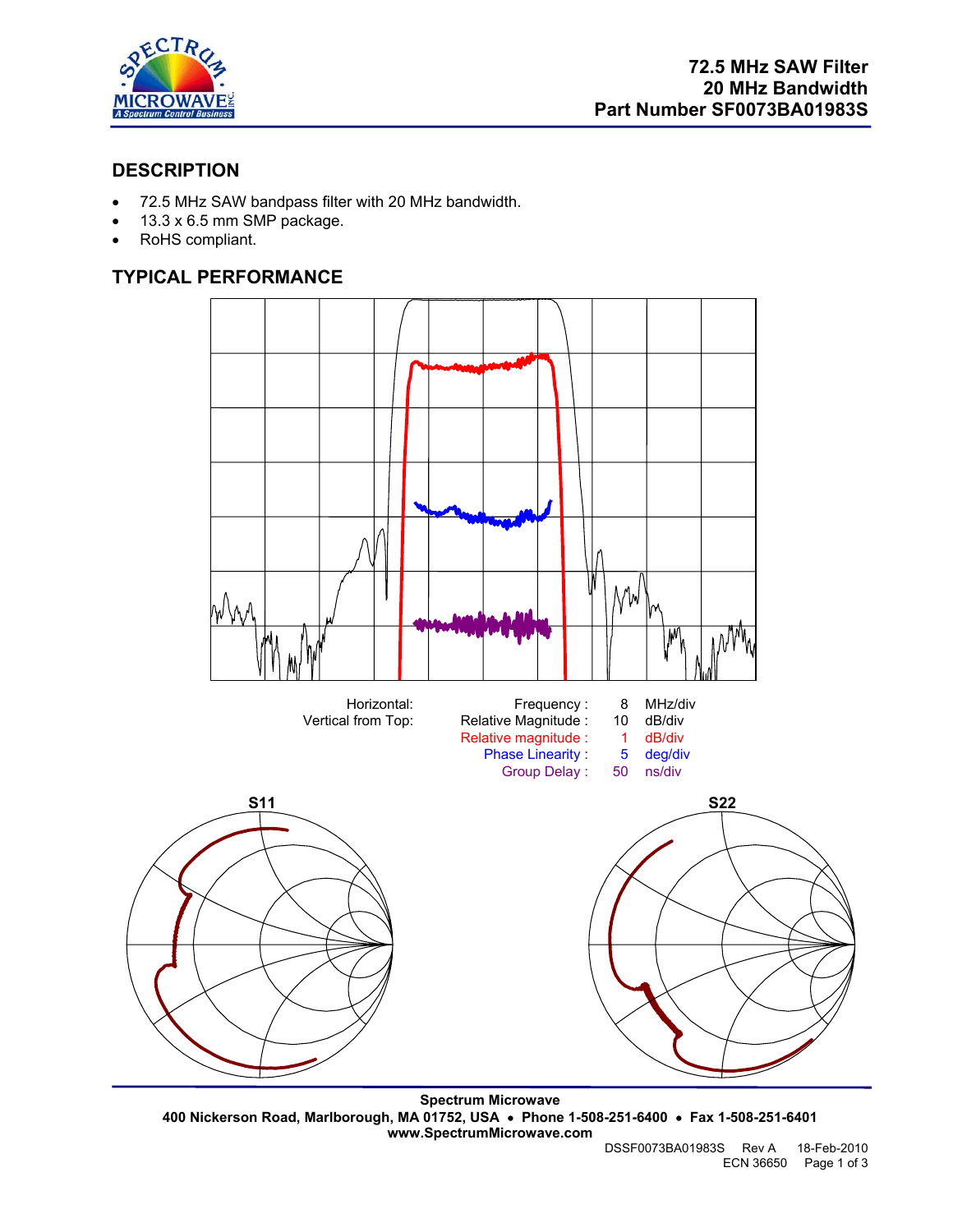

# **DESCRIPTION**

- 72.5 MHz SAW bandpass filter with 20 MHz bandwidth.
- 13.3 x 6.5 mm SMP package.
- RoHS compliant.

# **TYPICAL PERFORMANCE**



**Spectrum Microwave 400 Nickerson Road, Marlborough, MA 01752, USA** • **Phone 1-508-251-6400** • **Fax 1-508-251-6401 www.SpectrumMicrowave.com**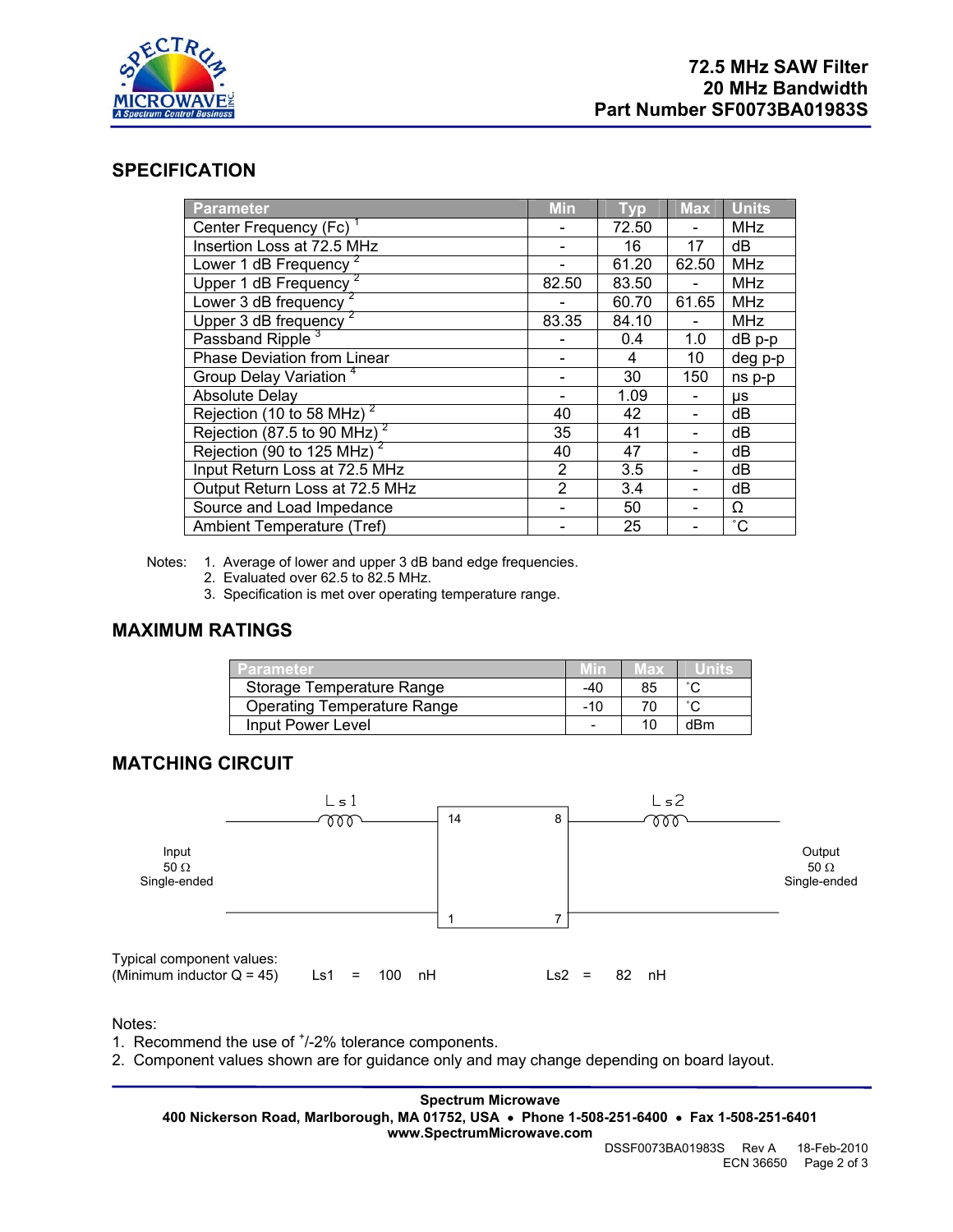

## **SPECIFICATION**

| <b>Parameter</b>                      | <b>Min</b>     | <b>Typ</b> | <b>Max</b> | <b>Units</b> |
|---------------------------------------|----------------|------------|------------|--------------|
| Center Frequency (Fc)                 |                | 72.50      |            | <b>MHz</b>   |
| Insertion Loss at 72.5 MHz            |                | 16         | 17         | dB           |
| Lower 1 dB Frequency                  |                | 61.20      | 62.50      | <b>MHz</b>   |
| Upper 1 dB Frequency                  | 82.50          | 83.50      |            | <b>MHz</b>   |
| Lower 3 dB frequency                  |                | 60.70      | 61.65      | <b>MHz</b>   |
| Upper 3 dB frequency <sup>2</sup>     | 83.35          | 84.10      |            | <b>MHz</b>   |
| Passband Ripple <sup>3</sup>          |                | 0.4        | 1.0        | dB p-p       |
| Phase Deviation from Linear           |                | 4          | 10         | deg p-p      |
| Group Delay Variation <sup>4</sup>    |                | 30         | 150        | ns p-p       |
| <b>Absolute Delay</b>                 |                | 1.09       |            | μs           |
| Rejection (10 to 58 MHz) <sup>2</sup> | 40             | 42         |            | dB           |
| Rejection (87.5 to 90 MHz) $^2$       | 35             | 41         |            | dB           |
| Rejection (90 to 125 MHz) $^2$        | 40             | 47         |            | dB           |
| Input Return Loss at 72.5 MHz         | $\overline{2}$ | 3.5        |            | dB           |
| Output Return Loss at 72.5 MHz        | $\overline{2}$ | 3.4        |            | dB           |
| Source and Load Impedance             |                | 50         |            | Ω            |
| Ambient Temperature (Tref)            |                | 25         |            | $^{\circ}C$  |

Notes: 1. Average of lower and upper 3 dB band edge frequencies.

- 2. Evaluated over 62.5 to 82.5 MHz.
- 3. Specification is met over operating temperature range.

## **MAXIMUM RATINGS**

| 'Parameter                         |     | llam |        |
|------------------------------------|-----|------|--------|
| Storage Temperature Range          | -40 | 85   | $\sim$ |
| <b>Operating Temperature Range</b> | -10 |      |        |
| Input Power Level                  |     |      | dBm    |

# **MATCHING CIRCUIT**



Notes:

1. Recommend the use of  $<sup>+</sup>/-2%$  tolerance components.</sup>

2. Component values shown are for guidance only and may change depending on board layout.

**Spectrum Microwave 400 Nickerson Road, Marlborough, MA 01752, USA** • **Phone 1-508-251-6400** • **Fax 1-508-251-6401 www.SpectrumMicrowave.com**